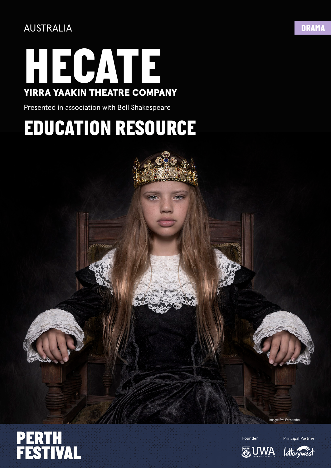

Presented in association with Bell Shakespeare

## *EDUCATION RESOURCE*



age: Eva Fernandez



Founder

**I**ottervwes

**Principal Partner**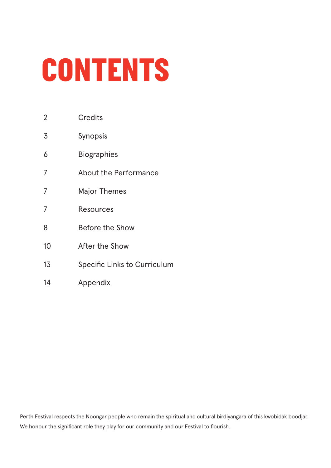# *CONTENTS*

- **Credits** 2
- Synopsis 3
- Biographies 6
- About the Performance 7
- Major Themes 7
- Resources 7
- Before the Show 8
- After the Show 10
- Specific Links to Curriculum 13
- Appendix 14

Perth Festival respects the Noongar people who remain the spiritual and cultural birdiyangara of this kwobidak boodjar. We honour the significant role they play for our community and our Festival to flourish.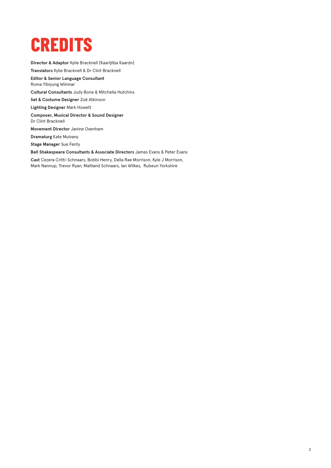### *CREDITS*

**Director & Adaptor** Kylie Bracknell [Kaarljilba Kaardn] **Translators** Kylie Bracknell & Dr Clint Bracknell **Editor & Senior Language Consultant**  Roma Yibiyung Winmar **Cultural Consultants** Judy Bone & Mitchella Hutchins **Set & Costume Designer** Zoë Atkinson **Lighting Designer** Mark Howett **Composer, Musical Director & Sound Designer**  Dr Clint Bracknell **Movement Director** Janine Oxenham **Dramaturg** Kate Mulvany **Stage Manager** Sue Fenty **Bell Shakespeare Consultants & Associate Directors** James Evans & Peter Evans **Cast** Cezera Critti-Schnaars, Bobbi Henry, Della Rae Morrison, Kyle J Morrison,

Mark Nannup, Trevor Ryan, Maitland Schnaars, Ian Wilkes, Rubeun Yorkshire

2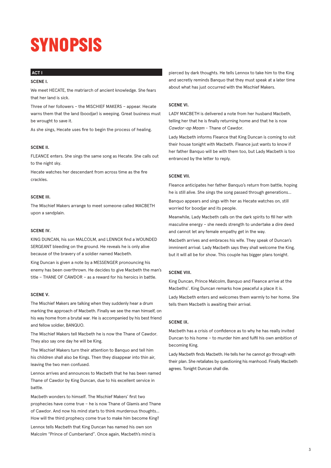## *SYNOPSIS*

#### **ACT I**

#### **SCENE I.**

We meet HECATE, the matriarch of ancient knowledge. She fears that her land is sick.

Three of her followers – the MISCHIEF MAKERS – appear. Hecate warns them that the land (boodjar) is weeping. Great business must be wrought to save it.

As she sings, Hecate uses fire to begin the process of healing.

#### **SCENE II.**

FLEANCE enters. She sings the same song as Hecate. She calls out to the night sky.

Hecate watches her descendant from across time as the fire crackles.

#### **SCENE III.**

The Mischief Makers arrange to meet someone called MACBETH upon a sandplain.

#### **SCENE IV.**

KING DUNCAN, his son MALCOLM, and LENNOX find a WOUNDED SERGEANT bleeding on the ground. He reveals he is only alive because of the bravery of a soldier named Macbeth.

King Duncan is given a note by a MESSENGER pronouncing his enemy has been overthrown. He decides to give Macbeth the man's title – THANE OF CAWDOR – as a reward for his heroics in battle.

#### **SCENE V.**

The Mischief Makers are talking when they suddenly hear a drum marking the approach of Macbeth. Finally we see the man himself, on his way home from a brutal war. He is accompanied by his best friend and fellow soldier, BANQUO.

The Mischief Makers tell Macbeth he is now the Thane of Cawdor. They also say one day he will be King.

The Mischief Makers turn their attention to Banquo and tell him his children shall also be Kings. Then they disappear into thin air, leaving the two men confused.

Lennox arrives and announces to Macbeth that he has been named Thane of Cawdor by King Duncan, due to his excellent service in battle.

Macbeth wonders to himself. The Mischief Makers' first two prophecies have come true – he is now Thane of Glamis and Thane of Cawdor. And now his mind starts to think murderous thoughts… How will the third prophecy come true to make him become King?

Lennox tells Macbeth that King Duncan has named his own son Malcolm "Prince of Cumberland". Once again, Macbeth's mind is pierced by dark thoughts. He tells Lennox to take him to the King and secretly reminds Banquo that they must speak at a later time about what has just occurred with the Mischief Makers.

#### **SCENE VI.**

LADY MACBETH is delivered a note from her husband Macbeth, telling her that he is finally returning home and that he is now *Cawdor-ap Maam* - Thane of Cawdor.

Lady Macbeth informs Fleance that King Duncan is coming to visit their house tonight with Macbeth. Fleance just wants to know if her father Banquo will be with them too, but Lady Macbeth is too entranced by the letter to reply.

#### **SCENE VII.**

Fleance anticipates her father Banquo's return from battle, hoping he is still alive. She sings the song passed through generations…

Banquo appears and sings with her as Hecate watches on, still worried for boodjar and its people.

Meanwhile, Lady Macbeth calls on the dark spirits to fill her with masculine energy – she needs strength to undertake a dire deed and cannot let any female empathy get in the way.

Macbeth arrives and embraces his wife. They speak of Duncan's imminent arrival. Lady Macbeth says they shall welcome the King, but it will all be for show. This couple has bigger plans tonight.

#### **SCENE VIII.**

King Duncan, Prince Malcolm, Banquo and Fleance arrive at the Macbeths'. King Duncan remarks how peaceful a place it is.

Lady Macbeth enters and welcomes them warmly to her home. She tells them Macbeth is awaiting their arrival.

#### **SCENE IX.**

Macbeth has a crisis of confidence as to why he has really invited Duncan to his home – to murder him and fulfil his own ambition of becoming King.

Lady Macbeth finds Macbeth. He tells her he cannot go through with their plan. She retaliates by questioning his manhood. Finally Macbeth agrees. Tonight Duncan shall die.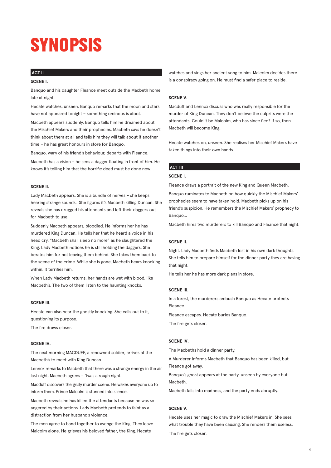## *SYNOPSIS*

#### **ACT II**

#### **SCENE I.**

Banquo and his daughter Fleance meet outside the Macbeth home late at night.

Hecate watches, unseen. Banquo remarks that the moon and stars have not appeared tonight – something ominous is afoot.

Macbeth appears suddenly. Banquo tells him he dreamed about the Mischief Makers and their prophecies. Macbeth says he doesn't think about them at all and tells him they will talk about it another time – he has great honours in store for Banquo.

Banquo, wary of his friend's behaviour, departs with Fleance.

Macbeth has a vision – he sees a dagger floating in front of him. He knows it's telling him that the horrific deed must be done now…

#### **SCENE II.**

Lady Macbeth appears. She is a bundle of nerves – she keeps hearing strange sounds. She figures it's Macbeth killing Duncan. She reveals she has drugged his attendants and left their daggers out for Macbeth to use.

Suddenly Macbeth appears, bloodied. He informs her he has murdered King Duncan. He tells her that he heard a voice in his head cry, "Macbeth shall sleep no more" as he slaughtered the King. Lady Macbeth notices he is still holding the daggers. She berates him for not leaving them behind. She takes them back to the scene of the crime. While she is gone, Macbeth hears knocking within. It terrifies him.

When Lady Macbeth returns, her hands are wet with blood, like Macbeth's. The two of them listen to the haunting knocks.

#### **SCENE III.**

Hecate can also hear the ghostly knocking. She calls out to it, questioning its purpose.

The fire draws closer.

#### **SCENE IV.**

The next morning MACDUFF, a renowned soldier, arrives at the Macbeth's to meet with King Duncan.

Lennox remarks to Macbeth that there was a strange energy in the air last night. Macbeth agrees – 'twas a rough night.

Macduff discovers the grisly murder scene. He wakes everyone up to inform them. Prince Malcolm is stunned into silence.

Macbeth reveals he has killed the attendants because he was so angered by their actions. Lady Macbeth pretends to faint as a distraction from her husband's violence.

The men agree to band together to avenge the King. They leave Malcolm alone. He grieves his beloved father, the King. Hecate

watches and sings her ancient song to him. Malcolm decides there is a conspiracy going on. He must find a safer place to reside.

#### **SCENE V.**

Macduff and Lennox discuss who was really responsible for the murder of King Duncan. They don't believe the culprits were the attendants. Could it be Malcolm, who has since fled? If so, then Macbeth will become King.

Hecate watches on, unseen. She realises her Mischief Makers have taken things into their own hands.

#### **ACT III**

#### **SCENE I.**

Fleance draws a portrait of the new King and Queen Macbeth.

Banquo ruminates to Macbeth on how quickly the Mischief Makers' prophecies seem to have taken hold. Macbeth picks up on his friend's suspicion. He remembers the Mischief Makers' prophecy to Banquo…

Macbeth hires two murderers to kill Banquo and Fleance that night.

#### **SCENE II.**

Night. Lady Macbeth finds Macbeth lost in his own dark thoughts. She tells him to prepare himself for the dinner party they are having that night.

He tells her he has more dark plans in store.

#### **SCENE III.**

In a forest, the murderers ambush Banquo as Hecate protects Fleance.

Fleance escapes. Hecate buries Banquo.

The fire gets closer.

#### **SCENE IV.**

The Macbeths hold a dinner party.

A Murderer informs Macbeth that Banquo has been killed, but Fleance got away.

Banquo's ghost appears at the party, unseen by everyone but Macbeth.

Macbeth falls into madness, and the party ends abruptly.

#### **SCENE V.**

Hecate uses her magic to draw the Mischief Makers in. She sees what trouble they have been causing. She renders them useless. The fire gets closer.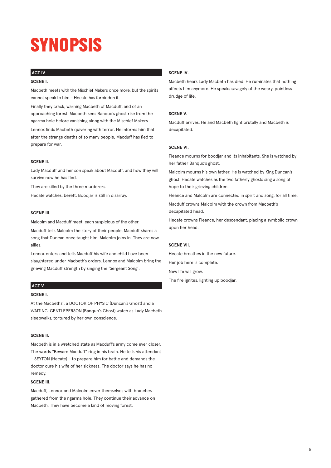## *SYNOPSIS*

#### **ACT IV**

#### **SCENE I.**

Macbeth meets with the Mischief Makers once more, but the spirits cannot speak to him – Hecate has forbidden it.

Finally they crack, warning Macbeth of Macduff, and of an approaching forest. Macbeth sees Banquo's ghost rise from the ngarma hole before vanishing along with the Mischief Makers.

Lennox finds Macbeth quivering with terror. He informs him that after the strange deaths of so many people, Macduff has fled to prepare for war.

#### **SCENE II.**

Lady Macduff and her son speak about Macduff, and how they will survive now he has fled.

They are killed by the three murderers.

Hecate watches, bereft. Boodjar is still in disarray.

#### **SCENE III.**

Malcolm and Macduff meet, each suspicious of the other.

Macduff tells Malcolm the story of their people. Macduff shares a song that Duncan once taught him. Malcolm joins in. They are now allies.

Lennox enters and tells Macduff his wife and child have been slaughtered under Macbeth's orders. Lennox and Malcolm bring the grieving Macduff strength by singing the 'Sergeant Song'.

#### **ACT V**

#### **SCENE I.**

At the Macbeths', a DOCTOR OF PHYSIC (Duncan's Ghost) and a WAITING-GENTLEPERSON (Banquo's Ghost) watch as Lady Macbeth sleepwalks, tortured by her own conscience.

#### **SCENE II.**

Macbeth is in a wretched state as Macduff's army come ever closer. The words "Beware Macduff" ring in his brain. He tells his attendant – SEYTON (Hecate) – to prepare him for battle and demands the doctor cure his wife of her sickness. The doctor says he has no remedy.

#### **SCENE III.**

Macduff, Lennox and Malcolm cover themselves with branches gathered from the ngarma hole. They continue their advance on Macbeth. They have become a kind of moving forest.

#### **SCENE IV.**

Macbeth hears Lady Macbeth has died. He ruminates that nothing affects him anymore. He speaks savagely of the weary, pointless drudge of life.

#### **SCENE V.**

Macduff arrives. He and Macbeth fight brutally and Macbeth is decapitated.

#### **SCENE VI.**

Fleance mourns for boodjar and its inhabitants. She is watched by her father Banquo's ghost.

Malcolm mourns his own father. He is watched by King Duncan's ghost. Hecate watches as the two fatherly ghosts sing a song of hope to their grieving children.

Fleance and Malcolm are connected in spirit and song, for all time.

Macduff crowns Malcolm with the crown from Macbeth's decapitated head.

Hecate crowns Fleance, her descendant, placing a symbolic crown upon her head.

#### **SCENE VII.**

Hecate breathes in the new future. Her job here is complete.

New life will grow.

The fire ignites, lighting up boodjar.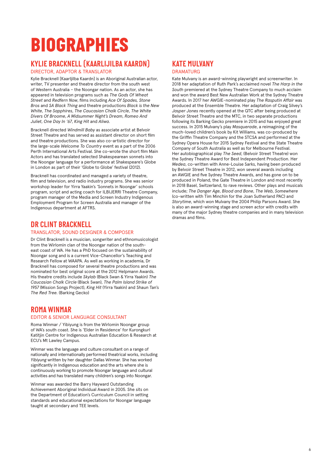## *BIOGRAPHIES*

### *KYLIE BRACKNELL (KAARLIJILBA KAARDN)*

DIRECTOR, ADAPTOR & TRANSLATOR

Kylie Bracknell [Kaarljilba Kaardn] is an Aboriginal Australian actor, writer, TV presenter and theatre director from the south west of Western Australia – the Noongar nation. As an actor, she has appeared in television programs such as *The Gods Of Wheat Street* and *Redfern Now*, films including *Ace Of Spades, Stone Bros* and *SA Black Thing* and theatre productions *Black is the New White*, *The Sapphires*, *The Caucasian Chalk Circle*, *The White Divers Of Broome*, *A Midsummer Night's Dream*, *Romeo And Juliet*, *One Day In '67*, *King Hit* and *Aliwa*.

Bracknell directed *Windmill Baby* as associate artist at Belvoir Street Theatre and has served as assistant director on short film and theatre productions. She was also co-artistic director for the large-scale *Welcome To Country* event as a part of the 2006 Perth International Arts Festival. She co-wrote the short film Main Actors and has translated selected Shakespearean sonnets into the Noongar language for a performance at Shakespeare's Globe in London as part of their 'Globe to Globe' festival (2012).

Bracknell has coordinated and managed a variety of theatre, film and television, and radio industry programs. She was senior workshop leader for Yirra Yaakin's 'Sonnets in Noongar' schools program, script and acting coach for ILBIJERRI Theatre Company, program manager of the Media and Screen Industry Indigenous Employment Program for Screen Australia and manager of the Indigenous department at AFTRS.

#### *DR CLINT BRACKNELL*

#### TRANSLATOR, SOUND DESIGNER & COMPOSER

Dr Clint Bracknell is a musician, songwriter and ethnomusicologist from the Wirlomin clan of the Noongar nation of the southeast coast of WA. He has a PhD focused on the sustainability of Noongar song and is a current Vice-Chancellor's Teaching and Research Fellow at WAAPA. As well as working in academia, Dr Bracknell has composed for several theatre productions and was nominated for best original score at the 2012 Helpmann Awards. His theatre credits include *Skylab* (Black Swan & Yirra Yaakin) *The Caucasian Chalk Circle* (Black Swan), *The Palm Island Strike of 1957* (Mission Songs Project), *King Hit* (Yirra Yaakin) and Shaun Tan's *The Red Tree.* (Barking Gecko)

### *ROMA WINMAR*

#### EDITOR & SENIOR LANGUAGE CONSULTANT

Roma Winmar / Yibiyung is from the Wirlomin Noongar group of WA's south coast. She is 'Elder in Residence' for Kurongkurl Katitjin Centre for Indigenous Australian Education & Research at ECU's Mt Lawley Campus.

Winmar was the language and culture consultant on a range of nationally and internationally performed theatrical works, including *Yibiyung* written by her daughter Dallas Winmar. She has worked significantly in Indigenous education and the arts where she is continuously working to promote Noongar language and cultural activities and has translated many children's songs into Noongar.

Winmar was awarded the Barry Hayward Outstanding Achievement Aboriginal Individual Award in 2005. She sits on the Department of Education's Curriculum Council in setting standards and educational expectations for Noongar language taught at secondary and TEE levels.

#### *KATE MULVANY* **DRAMATURG**

Kate Mulvany is an award-winning playwright and screenwriter. In 2018 her adaptation of Ruth Park's acclaimed novel *The Harp in the South* premiered at the Sydney Theatre Company to much acclaim and won the award Best New Australian Work at the Sydney Theatre Awards. In 2017 her AWGIE-nominated play *The Rasputin Affair* was produced at the Ensemble Theatre. Her adaptation of Craig Silvey's *Jasper Jones* recently opened at the QTC after being produced at Belvoir Street Theatre and the MTC, in two separate productions following its Barking Gecko premiere in 2015 and has enjoyed great success. In 2015 Mulvany's play *Masquerade*, a reimagining of the much-loved children's book by Kit Williams, was co-produced by the Griffin Theatre Company and the STCSA and performed at the Sydney Opera House for 2015 Sydney Festival and the State Theatre Company of South Australia as well as for Melbourne Festival. Her autobiographical play *The Seed*, (Belvoir Street Theatre) won the Sydney Theatre Award for Best Independent Production. Her *Medea*, co-written with Anne-Louise Sarks, having been produced by Belvoir Street Theatre in 2012, won several awards including an AWGIE and five Sydney Theatre Awards, and has gone on to be produced in Poland, the Gate Theatre in London and most recently in 2018 Basel, Switzerland, to rave reviews. Other plays and musicals include; *The Danger Age*, *Blood and Bone*, *The Web*, *Somewhere* (co-written with Tim Minchin for the Joan Sutherland PAC) and *Storytime*, which won Mulvany the 2004 Philip Parsons Award. She is also an award-winning stage and screen actor with credits with many of the major Sydney theatre companies and in many television dramas and films.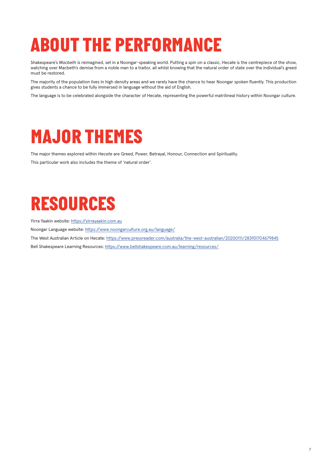## *ABOUT THE PERFORMANCE*

Shakespeare's *Macbeth* is reimagined, set in a Noongar-speaking world. Putting a spin on a classic, Hecate is the centrepiece of the show, watching over Macbeth's demise from a noble man to a traitor, all whilst knowing that the natural order of state over the individual's greed must be restored.

The majority of the population lives in high density areas and we rarely have the chance to hear Noongar spoken fluently. This production gives students a chance to be fully immersed in language without the aid of English.

The language is to be celebrated alongside the character of Hecate, representing the powerful matrilineal history within Noongar culture.

## *MAJOR THEMES*

The major themes explored within *Hecate* are Greed, Power, Betrayal, Honour, Connection and Spirituality.

This particular work also includes the theme of 'natural order'.

## *RESOURCES*

Yirra Yaakin website: <https://yirrayaakin.com.au>

Noongar Language website: <https://www.noongarculture.org.au/language/>

The West Australian Article on Hecate:<https://www.pressreader.com/australia/the-west-australian/20200111/283931704679845>

Bell Shakespeare Learning Resources: <https://www.bellshakespeare.com.au/learning/resources/>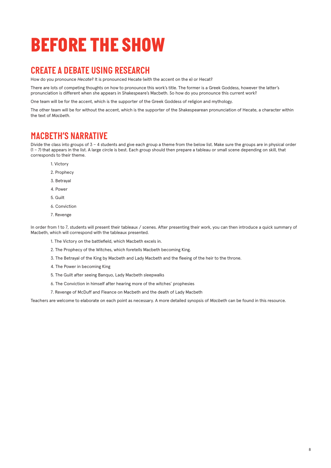## *BEFORE THE SHOW*

### *CREATE A DEBATE USING RESEARCH*

How do you pronounce *Hecate*? It is pronounced Hecate (with the accent on the e) or Hecat?

There are lots of competing thoughts on how to pronounce this work's title. The former is a Greek Goddess, however the latter's pronunciation is different when she appears in Shakespeare's Macbeth. So how do you pronounce this current work?

One team will be for the accent, which is the supporter of the Greek Goddess of religion and mythology.

The other team will be for without the accent, which is the supporter of the Shakespearean pronunciation of Hecate, a character within the text of *Macbeth*.

### *MACBETH'S NARRATIVE*

Divide the class into groups of 3 – 4 students and give each group a theme from the below list. Make sure the groups are in physical order (1 – 7) that appears in the list. A large circle is best. Each group should then prepare a tableau or small scene depending on skill, that corresponds to their theme.

- 1. Victory
- 2. Prophecy
- 3. Betrayal
- 4. Power
- 5. Guilt
- 6. Conviction
- 7. Revenge

In order from 1 to 7, students will present their tableaux / scenes. After presenting their work, you can then introduce a quick summary of Macbeth, which will correspond with the tableaux presented.

- 1. The Victory on the battlefield, which Macbeth excels in.
- 2. The Prophecy of the Witches, which foretells Macbeth becoming King.
- 3. The Betrayal of the King by Macbeth and Lady Macbeth and the fleeing of the heir to the throne.
- 4. The Power in becoming King
- 5. The Guilt after seeing Banquo, Lady Macbeth sleepwalks
- 6. The Conviction in himself after hearing more of the witches' prophesies
- 7. Revenge of McDuff and Fleance on Macbeth and the death of Lady Macbeth

Teachers are welcome to elaborate on each point as necessary. A more detailed synopsis of *Macbeth* can be found in this resource.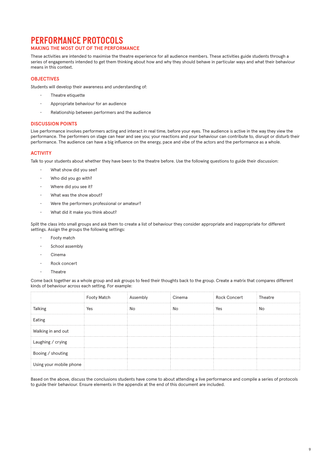#### *PERFORMANCE PROTOCOLS* **MAKING THE MOST OUT OF THE PERFORMANCE**

These activities are intended to maximise the theatre experience for all audience members. These activities guide students through a series of engagements intended to get them thinking about how and why they should behave in particular ways and what their behaviour means in this context.

#### **OBJECTIVES**

Students will develop their awareness and understanding of:

- Theatre etiquette
- Appropriate behaviour for an audience
- Relationship between performers and the audience

#### **DISCUSSION POINTS**

Live performance involves performers acting and interact in real time, before your eyes. The audience is active in the way they view the performance. The performers on stage can hear and see you; your reactions and your behaviour can contribute to, disrupt or disturb their performance. The audience can have a big influence on the energy, pace and vibe of the actors and the performance as a whole.

#### **ACTIVITY**

Talk to your students about whether they have been to the theatre before. Use the following questions to guide their discussion:

- What show did you see?
- Who did you go with?
- Where did you see it?
- What was the show about?
- Were the performers professional or amateur?
- What did it make you think about?

Split the class into small groups and ask them to create a list of behaviour they consider appropriate and inappropriate for different settings. Assign the groups the following settings:

- Footy match
- School assembly
- Cinema
- Rock concert
- **Theatre**

Come back together as a whole group and ask groups to feed their thoughts back to the group. Create a matrix that compares different kinds of behaviour across each setting. For example:

|                         | Footy Match | Assembly | Cinema | <b>Rock Concert</b> | Theatre |
|-------------------------|-------------|----------|--------|---------------------|---------|
| <b>Talking</b>          | Yes         | No       | No     | Yes                 | No      |
| Eating                  |             |          |        |                     |         |
| Walking in and out      |             |          |        |                     |         |
| Laughing / crying       |             |          |        |                     |         |
| Booing / shouting       |             |          |        |                     |         |
| Using your mobile phone |             |          |        |                     |         |

Based on the above, discuss the conclusions students have come to about attending a live performance and compile a series of protocols to guide their behaviour. Ensure elements in the appendix at the end of this document are included.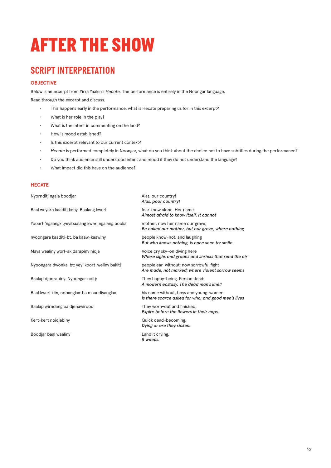## *AFTER THE SHOW*

### *SCRIPT INTERPRETATION*

#### **OBJECTIVE**

Below is an excerpt from Yirra Yaakin's *Hecate*. The performance is entirely in the Noongar language.

Read through the excerpt and discuss.

- This happens early in the performance, what is Hecate preparing us for in this excerpt?
- What is her role in the play?
- What is the intent in commenting on the land?
- How is mood established?
- Is this excerpt relevant to our current context?
- *Hecate* is performed completely in Noongar, what do you think about the choice not to have subtitles during the performance?
- Do you think audience still understood intent and mood if they do not understand the language?
- What impact did this have on the audience?

#### **HECATE**

| Nyornditj ngala boodjar                            | Alas, our country!<br>Alas, poor country!                                                     |
|----------------------------------------------------|-----------------------------------------------------------------------------------------------|
| Baal weyarn kaaditj keny. Baalang kwerl            | fear know alone. Her name<br>Almost afraid to know itself. It cannot                          |
| Yooart 'ngaangk', yeyibaalang kwerl ngalang bookal | mother, now her name our grave,<br>Be called our mother, but our grave, where nothing         |
| nyoongara kaaditj-bt, ba kaaw-kaawiny              | people know-not, and laughing<br>But who knows nothing, is once seen to; smile                |
| Maya waaliny worl-ak darapiny nidja                | Voice cry sky-on diving here<br>Where sighs and groans and shrieks that rend the air          |
| Nyoongara dwonka-bt: yeyi koort-weliny bakitj      | people ear-without: now sorrowful fight<br>Are made, not marked; where violent sorrow seems   |
| Baalap djoorabiny. Nyoongar noitj:                 | They happy-being. Person dead:<br>A modern ecstasy. The dead man's knell                      |
| Baal kwerl kiin, nobangkar ba maandiyangkar        | his name without, boys and young-women<br>Is there scarce asked for who, and good men's lives |
| Baalap wirndang ba djenawirdoo                     | They worn-out and finished,<br>Expire before the flowers in their caps,                       |
| Kert-kert noidjabiny                               | Quick dead-becoming.<br>Dying or ere they sicken.                                             |
| Boodjar baal waaliny                               | Land it crying.                                                                               |

*It weeps.*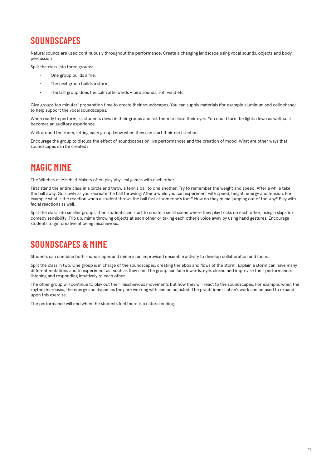### *SOUNDSCAPES*

Natural sounds are used continuously throughout the performance. Create a changing landscape using vocal sounds, objects and body percussion

Split the class into three groups:

- One group builds a fire,
- The next group builds a storm,
- The last group does the calm afterwards bird sounds, soft wind etc.

Give groups ten minutes' preparation time to create their soundscapes. You can supply materials (for example aluminum and cellophane) to help support the vocal soundscapes.

When ready to perform, sit students down in their groups and ask them to close their eyes. You could turn the lights down as well, so it becomes an auditory experience.

Walk around the room, letting each group know when they can start their next section.

Encourage the group to discuss the effect of soundscapes on live performances and the creation of mood. What are other ways that soundscapes can be created?

### *MAGIC MIME*

The Witches or Mischief Makers often play physical games with each other.

First stand the entire class in a circle and throw a tennis ball to one another. Try to remember the weight and speed. After a while take the ball away. Go slowly as you recreate the ball throwing. After a while you can experiment with speed, height, energy and tension. For example what is the reaction when a student throws the ball fast at someone's foot? How do they mime jumping out of the way? Play with facial reactions as well.

Split the class into smaller groups, then students can start to create a small scene where they play tricks on each other, using a slapstick comedy sensibility. Trip up, mime throwing objects at each other or taking each other's voice away by using hand gestures. Encourage students to get creative at being mischievous.

### *SOUNDSCAPES & MIME*

Students can combine both soundscapes and mime in an improvised ensemble activity to develop collaboration and focus.

Split the class in two. One group is in charge of the soundscapes, creating the ebbs and flows of the storm. Explain a storm can have many different mutations and to experiment as much as they can. The group can face inwards, eyes closed and improvise their performance, listening and responding intuitively to each other.

The other group will continue to play out their mischievous movements but now they will react to the soundscapes. For example, when the rhythm increases, the energy and dynamics they are working with can be adjusted. The practitioner Laban's work can be used to expand upon this exercise.

The performance will end when the students feel there is a natural ending.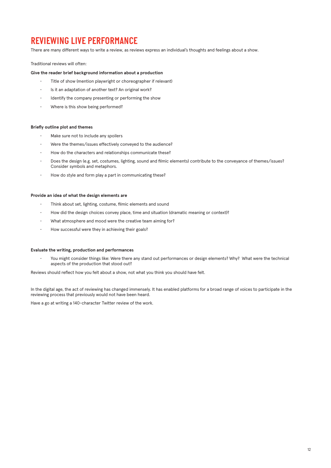### *REVIEWING LIVE PERFORMANCE*

There are many different ways to write a review, as reviews express an individual's thoughts and feelings about a show.

Traditional reviews will often:

#### **Give the reader brief background information about a production**

- Title of show (mention playwright or choreographer if relevant)
- Is it an adaptation of another text? An original work?
- Identify the company presenting or performing the show
- Where is this show being performed?

#### **Briefly outline plot and themes**

- Make sure not to include any spoilers
- Were the themes/issues effectively conveyed to the audience?
- How do the characters and relationships communicate these?
- Does the design (e.g. set, costumes, lighting, sound and filmic elements) contribute to the conveyance of themes/issues? Consider symbols and metaphors.
- How do style and form play a part in communicating these?

#### **Provide an idea of what the design elements are**

- Think about set, lighting, costume, filmic elements and sound
- How did the design choices convey place, time and situation (dramatic meaning or context)?
- What atmosphere and mood were the creative team aiming for?
- How successful were they in achieving their goals?

#### **Evaluate the writing, production and performances**

• You might consider things like: Were there any stand out performances or design elements? Why? What were the technical aspects of the production that stood out?

Reviews should reflect how you felt about a show, not what you think you should have felt.

In the digital age, the act of reviewing has changed immensely. It has enabled platforms for a broad range of voices to participate in the reviewing process that previously would not have been heard.

Have a go at writing a 140-character Twitter review of the work.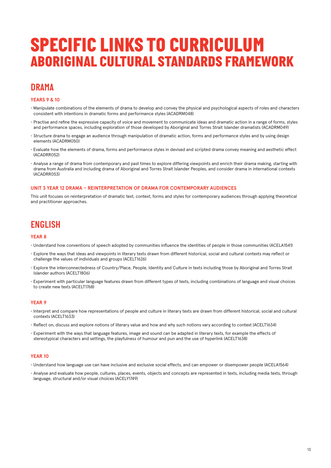### *SPECIFIC LINKS TO CURRICULUM ABORIGINAL CULTURAL STANDARDS FRAMEWORK*

### *DRAMA*

#### **YEARS 9 & 10**

- Manipulate combinations of the elements of drama to develop and convey the physical and psychological aspects of roles and characters consistent with intentions in dramatic forms and performance styles (ACADRM048)
- Practise and refine the expressive capacity of voice and movement to communicate ideas and dramatic action in a range of forms, styles and performance spaces, including exploration of those developed by Aboriginal and Torres Strait Islander dramatists (ACADRM049)
- Structure drama to engage an audience through manipulation of dramatic action, forms and performance styles and by using design elements (ACADRM050)
- Evaluate how the elements of drama, forms and performance styles in devised and scripted drama convey meaning and aesthetic effect (ACADRR052)
- Analyse a range of drama from contemporary and past times to explore differing viewpoints and enrich their drama making, starting with drama from Australia and including drama of Aboriginal and Torres Strait Islander Peoples, and consider drama in international contexts (ACADRR053)

#### **UNIT 3 YEAR 12 DRAMA – REINTERPRETATION OF DRAMA FOR CONTEMPORARY AUDIENCES**

This unit focuses on reinterpretation of dramatic text, context, forms and styles for contemporary audiences through applying theoretical and practitioner approaches.

### *ENGLISH*

#### **YEAR 8**

- Understand how conventions of speech adopted by communities influence the identities of people in those communities (ACELA1541)
- Explore the ways that ideas and viewpoints in literary texts drawn from different historical, social and cultural contexts may reflect or challenge the values of individuals and groups (ACELT1626)
- Explore the interconnectedness of Country/Place, People, Identity and Culture in texts including those by Aboriginal and Torres Strait Islander authors (ACELT1806)
- Experiment with particular language features drawn from different types of texts, including combinations of language and visual choices to create new texts (ACELT1768)

#### **YEAR 9**

- Interpret and compare how representations of people and culture in literary texts are drawn from different historical, social and cultural contexts (ACELT1633)
- Reflect on, discuss and explore notions of literary value and how and why such notions vary according to context (ACELT1634)
- Experiment with the ways that language features, image and sound can be adapted in literary texts, for example the effects of stereotypical characters and settings, the playfulness of humour and pun and the use of hyperlink (ACELT1638)

#### **YEAR 10**

- Understand how language use can have inclusive and exclusive social effects, and can empower or disempower people (ACELA1564)
- Analyse and evaluate how people, cultures, places, events, objects and concepts are represented in texts, including media texts, through language, structural and/or visual choices (ACELY1749)